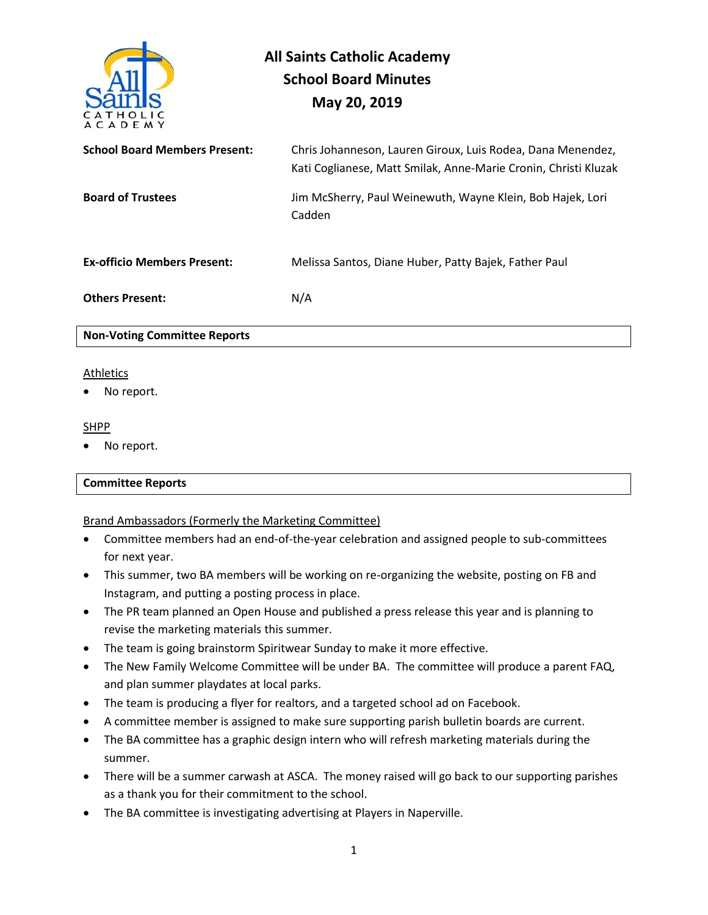

# **All Saints Catholic Academy School Board Minutes May 20, 2019**

| <b>School Board Members Present:</b> | Chris Johanneson, Lauren Giroux, Luis Rodea, Dana Menendez,<br>Kati Coglianese, Matt Smilak, Anne-Marie Cronin, Christi Kluzak |
|--------------------------------------|--------------------------------------------------------------------------------------------------------------------------------|
| <b>Board of Trustees</b>             | Jim McSherry, Paul Weinewuth, Wayne Klein, Bob Hajek, Lori<br>Cadden                                                           |
| <b>Ex-officio Members Present:</b>   | Melissa Santos, Diane Huber, Patty Bajek, Father Paul                                                                          |
| <b>Others Present:</b>               | N/A                                                                                                                            |
| <b>Non-Voting Committee Reports</b>  |                                                                                                                                |

# **Athletics**

No report.

#### SHPP

No report.

#### **Committee Reports**

## Brand Ambassadors (Formerly the Marketing Committee)

- Committee members had an end-of-the-year celebration and assigned people to sub-committees for next year.
- This summer, two BA members will be working on re-organizing the website, posting on FB and Instagram, and putting a posting process in place.
- The PR team planned an Open House and published a press release this year and is planning to revise the marketing materials this summer.
- The team is going brainstorm Spiritwear Sunday to make it more effective.
- The New Family Welcome Committee will be under BA. The committee will produce a parent FAQ, and plan summer playdates at local parks.
- The team is producing a flyer for realtors, and a targeted school ad on Facebook.
- A committee member is assigned to make sure supporting parish bulletin boards are current.
- The BA committee has a graphic design intern who will refresh marketing materials during the summer.
- There will be a summer carwash at ASCA. The money raised will go back to our supporting parishes as a thank you for their commitment to the school.
- The BA committee is investigating advertising at Players in Naperville.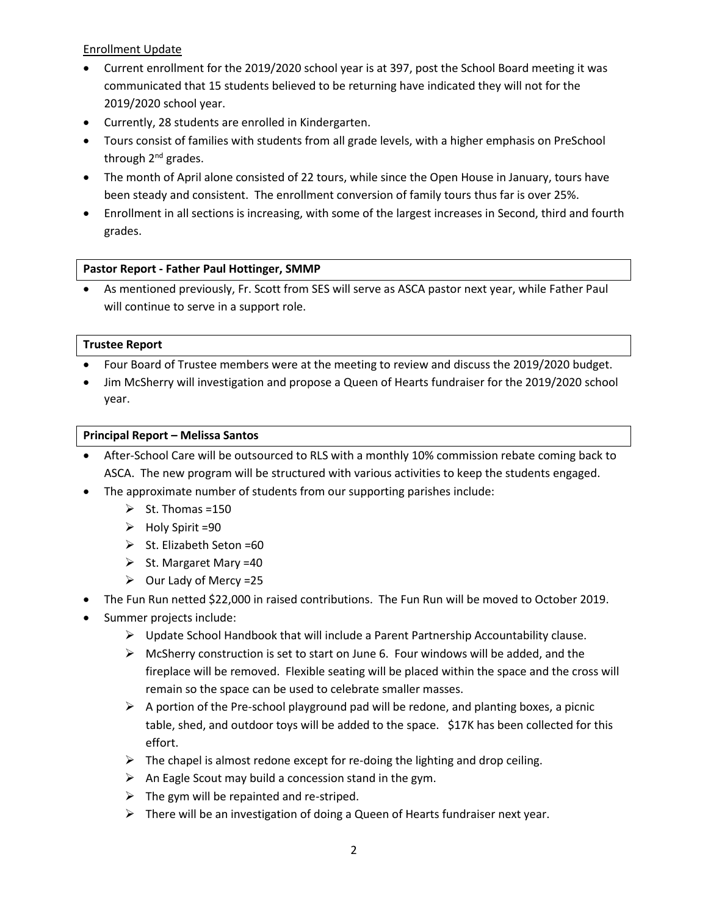Enrollment Update

- Current enrollment for the 2019/2020 school year is at 397, post the School Board meeting it was communicated that 15 students believed to be returning have indicated they will not for the 2019/2020 school year.
- Currently, 28 students are enrolled in Kindergarten.
- Tours consist of families with students from all grade levels, with a higher emphasis on PreSchool through 2<sup>nd</sup> grades.
- The month of April alone consisted of 22 tours, while since the Open House in January, tours have been steady and consistent. The enrollment conversion of family tours thus far is over 25%.
- Enrollment in all sections is increasing, with some of the largest increases in Second, third and fourth grades.

## **Pastor Report - Father Paul Hottinger, SMMP**

• As mentioned previously, Fr. Scott from SES will serve as ASCA pastor next year, while Father Paul will continue to serve in a support role.

## **Trustee Report**

- Four Board of Trustee members were at the meeting to review and discuss the 2019/2020 budget.
- Jim McSherry will investigation and propose a Queen of Hearts fundraiser for the 2019/2020 school year.

## **Principal Report – Melissa Santos**

- After-School Care will be outsourced to RLS with a monthly 10% commission rebate coming back to ASCA. The new program will be structured with various activities to keep the students engaged.
- The approximate number of students from our supporting parishes include:
	- $\triangleright$  St. Thomas =150
	- ➢ Holy Spirit =90
	- $\triangleright$  St. Elizabeth Seton =60
	- $\triangleright$  St. Margaret Mary =40
	- $\triangleright$  Our Lady of Mercy = 25
- The Fun Run netted \$22,000 in raised contributions. The Fun Run will be moved to October 2019.
- Summer projects include:
	- ➢ Update School Handbook that will include a Parent Partnership Accountability clause.
	- $\triangleright$  McSherry construction is set to start on June 6. Four windows will be added, and the fireplace will be removed. Flexible seating will be placed within the space and the cross will remain so the space can be used to celebrate smaller masses.
	- $\triangleright$  A portion of the Pre-school playground pad will be redone, and planting boxes, a picnic table, shed, and outdoor toys will be added to the space. \$17K has been collected for this effort.
	- $\triangleright$  The chapel is almost redone except for re-doing the lighting and drop ceiling.
	- $\triangleright$  An Eagle Scout may build a concession stand in the gym.
	- $\triangleright$  The gym will be repainted and re-striped.
	- ➢ There will be an investigation of doing a Queen of Hearts fundraiser next year.